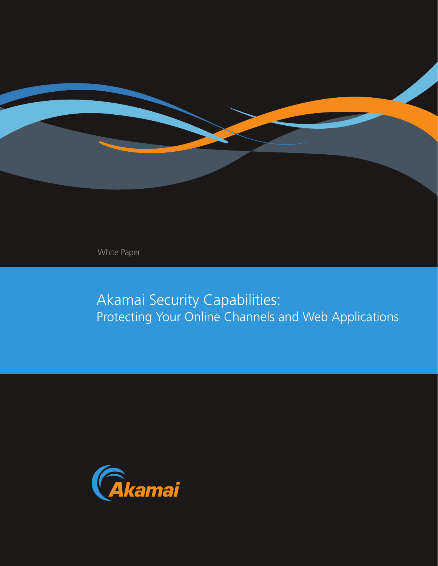

White Paper

Akamai Security Capabilities: Protecting Your Online Channels and Web Applications

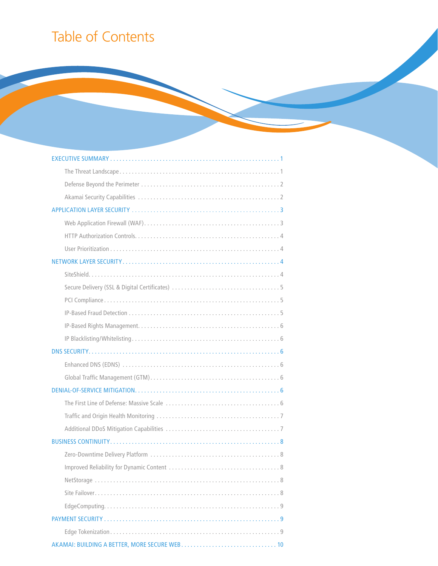# Table of Contents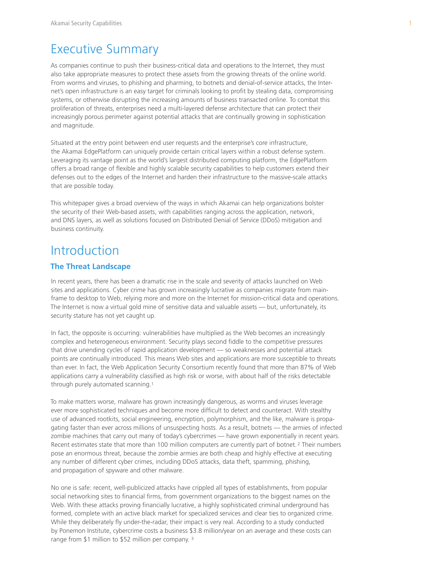## Executive Summary

As companies continue to push their business-critical data and operations to the Internet, they must also take appropriate measures to protect these assets from the growing threats of the online world. From worms and viruses, to phishing and pharming, to botnets and denial-of-service attacks, the Internet's open infrastructure is an easy target for criminals looking to profit by stealing data, compromising systems, or otherwise disrupting the increasing amounts of business transacted online. To combat this proliferation of threats, enterprises need a multi-layered defense architecture that can protect their increasingly porous perimeter against potential attacks that are continually growing in sophistication and magnitude.

Situated at the entry point between end user requests and the enterprise's core infrastructure, the Akamai EdgePlatform can uniquely provide certain critical layers within a robust defense system. Leveraging its vantage point as the world's largest distributed computing platform, the EdgePlatform offers a broad range of flexible and highly scalable security capabilities to help customers extend their defenses out to the edges of the Internet and harden their infrastructure to the massive-scale attacks that are possible today.

This whitepaper gives a broad overview of the ways in which Akamai can help organizations bolster the security of their Web-based assets, with capabilities ranging across the application, network, and DNS layers, as well as solutions focused on Distributed Denial of Service (DDoS) mitigation and business continuity.

## Introduction

### **The Threat Landscape**

In recent years, there has been a dramatic rise in the scale and severity of attacks launched on Web sites and applications. Cyber crime has grown increasingly lucrative as companies migrate from mainframe to desktop to Web, relying more and more on the Internet for mission-critical data and operations. The Internet is now a virtual gold mine of sensitive data and valuable assets — but, unfortunately, its security stature has not yet caught up.

In fact, the opposite is occurring: vulnerabilities have multiplied as the Web becomes an increasingly complex and heterogeneous environment. Security plays second fiddle to the competitive pressures that drive unending cycles of rapid application development — so weaknesses and potential attack points are continually introduced. This means Web sites and applications are more susceptible to threats than ever. In fact, the Web Application Security Consortium recently found that more than 87% of Web applications carry a vulnerability classified as high risk or worse, with about half of the risks detectable through purely automated scanning.<sup>1</sup>

To make matters worse, malware has grown increasingly dangerous, as worms and viruses leverage ever more sophisticated techniques and become more difficult to detect and counteract. With stealthy use of advanced rootkits, social engineering, encryption, polymorphism, and the like, malware is propagating faster than ever across millions of unsuspecting hosts. As a result, botnets — the armies of infected zombie machines that carry out many of today's cybercrimes — have grown exponentially in recent years. Recent estimates state that more than 100 million computers are currently part of botnet.<sup>2</sup> Their numbers pose an enormous threat, because the zombie armies are both cheap and highly effective at executing any number of different cyber crimes, including DDoS attacks, data theft, spamming, phishing, and propagation of spyware and other malware.

No one is safe: recent, well-publicized attacks have crippled all types of establishments, from popular social networking sites to financial firms, from government organizations to the biggest names on the Web. With these attacks proving financially lucrative, a highly sophisticated criminal underground has formed, complete with an active black market for specialized services and clear ties to organized crime. While they deliberately fly under-the-radar, their impact is very real. According to a study conducted by Ponemon Institute, cybercrime costs a business \$3.8 million/year on an average and these costs can range from \$1 million to \$52 million per company.<sup>3</sup>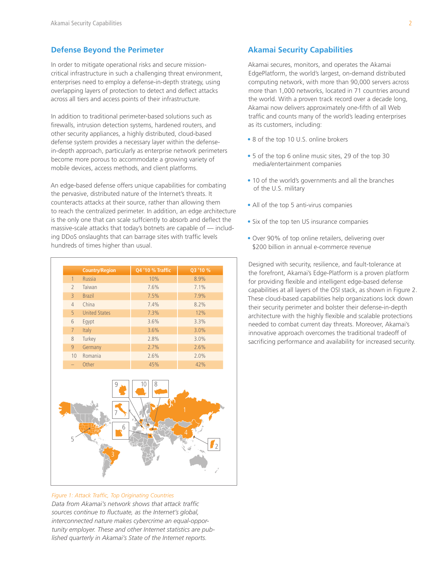### **Defense Beyond the Perimeter**

In order to mitigate operational risks and secure missioncritical infrastructure in such a challenging threat environment, enterprises need to employ a defense-in-depth strategy, using overlapping layers of protection to detect and deflect attacks across all tiers and access points of their infrastructure.

In addition to traditional perimeter-based solutions such as firewalls, intrusion detection systems, hardened routers, and other security appliances, a highly distributed, cloud-based defense system provides a necessary layer within the defensein-depth approach, particularly as enterprise network perimeters become more porous to accommodate a growing variety of mobile devices, access methods, and client platforms.

An edge-based defense offers unique capabilities for combating the pervasive, distributed nature of the Internet's threats. It counteracts attacks at their source, rather than allowing them to reach the centralized perimeter. In addition, an edge architecture is the only one that can scale suffciently to absorb and deflect the massive-scale attacks that today's botnets are capable of — including DDoS onslaughts that can barrage sites with traffic levels hundreds of times higher than usual.

|                | <b>Country/Region</b> | <b>Q4 '10 % Traffic</b> | Q3'10 % |
|----------------|-----------------------|-------------------------|---------|
| $\mathbf{1}$   | <b>Russia</b>         | 10%                     | 8.9%    |
| $\overline{2}$ | Taiwan                | 7.6%                    | 7.1%    |
| $\overline{3}$ | <b>Brazil</b>         | 7.5%                    | 7.9%    |
| 4              | China                 | 7.4%                    | 8.2%    |
| 5              | <b>United States</b>  | 7.3%                    | 12%     |
| 6              | Eqypt                 | 3.6%                    | 3.3%    |
| $\overline{7}$ | Italy                 | 3.6%                    | 3.0%    |
| 8              | Turkey                | 2.8%                    | 3.0%    |
| 9              | Germany               | 2.7%                    | 2.6%    |
| 10             | Romania               | 2.6%                    | 2.0%    |
|                | Other                 | 45%                     | 42%     |
|                |                       |                         |         |



#### *Figure 1: Attack Traffic, Top Originating Countries*

*Data from Akamai's network shows that attack traffic sources continue to fluctuate, as the Internet's global, interconnected nature makes cybercrime an equal-opportunity employer. These and other Internet statistics are published quarterly in Akamai's State of the Internet reports.*

### **Akamai Security Capabilities**

Akamai secures, monitors, and operates the Akamai EdgePlatform, the world's largest, on-demand distributed computing network, with more than 90,000 servers across more than 1,000 networks, located in 71 countries around the world. With a proven track record over a decade long, Akamai now delivers approximately one-fifth of all Web traffic and counts many of the world's leading enterprises as its customers, including:

- 8 of the top 10 U.S. online brokers
- 5 of the top 6 online music sites, 29 of the top 30 media/entertainment companies
- 10 of the world's governments and all the branches of the U.S. military
- All of the top 5 anti-virus companies
- Six of the top ten US insurance companies
- Over 90% of top online retailers, delivering over \$200 billion in annual e-commerce revenue

Designed with security, resilience, and fault-tolerance at the forefront, Akamai's Edge-Platform is a proven platform for providing flexible and intelligent edge-based defense capabilities at all layers of the OSI stack, as shown in Figure 2. These cloud-based capabilities help organizations lock down their security perimeter and bolster their defense-in-depth architecture with the highly flexible and scalable protections needed to combat current day threats. Moreover, Akamai's innovative approach overcomes the traditional tradeoff of sacrificing performance and availability for increased security.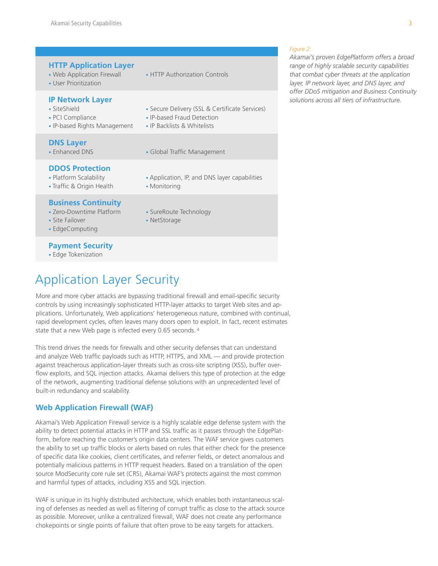### **IP Network Layer**

- 
- PCI Compliance IP-based Fraud Detection
- IP-based Rights Management IP Backlists & Whitelists

### **DNS Layer**

## **DDOS Protection**

- 
- Traffic & Origin Health Monitoring

## **Business Continuity**

- 
- 
- EdgeComputing

## **Payment Security**

• Edge Tokenization

# Application Layer Security

More and more cyber attacks are bypassing traditional firewall and email-specific security controls by using increasingly sophisticated HTTP-layer attacks to target Web sites and applications. Unfortunately, Web applications' heterogeneous nature, combined with continual, rapid development cycles, often leaves many doors open to exploit. In fact, recent estimates state that a new Web page is infected every 0.65 seconds. 4

This trend drives the needs for firewalls and other security defenses that can understand and analyze Web traffic payloads such as HTTP, HTTPS, and XML — and provide protection against treacherous application-layer threats such as cross-site scripting (XSS), buffer overflow exploits, and SQL injection attacks. Akamai delivers this type of protection at the edge of the network, augmenting traditional defense solutions with an unprecedented level of built-in redundancy and scalability.

## **Web Application Firewall (WAF)**

Akamai's Web Application Firewall service is a highly scalable edge defense system with the ability to detect potential attacks in HTTP and SSL traffic as it passes through the EdgePlatform, before reaching the customer's origin data centers. The WAF service gives customers the ability to set up traffic blocks or alerts based on rules that either check for the presence of specific data like cookies, client certificates, and referrer fields, or detect anomalous and potentially malicious patterns in HTTP request headers. Based on a translation of the open source ModSecurity core rule set (CRS), Akamai WAF's protects against the most common and harmful types of attacks, including XSS and SQL injection.

WAF is unique in its highly distributed architecture, which enables both instantaneous scaling of defenses as needed as well as filtering of corrupt traffic as close to the attack source as possible. Moreover, unlike a centralized firewall, WAF does not create any performance chokepoints or single points of failure that often prove to be easy targets for attackers.

- SiteShield Secure Delivery (SSL & Certificate Services)
	-
	-
- Enhanced DNS Global Traffic Management
- Platform Scalability Application, IP, and DNS layer capabilities
	-
- Zero-Downtime Platform SureRoute Technology
- Site Failover NetStorage

#### *Figure 2:*

*Akamai's proven EdgePlatform offers a broad range of highly scalable security capabilities that combat cyber threats at the application layer, IP network layer, and DNS layer, and offer DDoS mitigation and Business Continuity solutions across all tiers of infrastructure.* 

- -
	-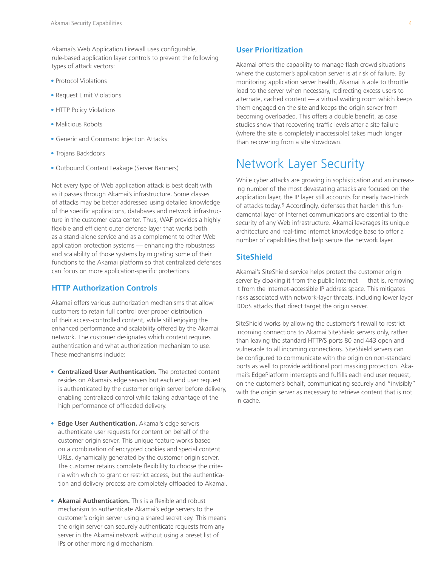Akamai's Web Application Firewall uses configurable, rule-based application layer controls to prevent the following types of attack vectors:

- Protocol Violations
- Request Limit Violations
- HTTP Policy Violations
- Malicious Robots
- Generic and Command Injection Attacks
- Trojans Backdoors
- Outbound Content Leakage (Server Banners)

Not every type of Web application attack is best dealt with as it passes through Akamai's infrastructure. Some classes of attacks may be better addressed using detailed knowledge of the specific applications, databases and network infrastructure in the customer data center. Thus, WAF provides a highly flexible and efficient outer defense layer that works both as a stand-alone service and as a complement to other Web application protection systems — enhancing the robustness and scalability of those systems by migrating some of their functions to the Akamai platform so that centralized defenses can focus on more application-specific protections.

### **HTTP Authorization Controls**

Akamai offers various authorization mechanisms that allow customers to retain full control over proper distribution of their access-controlled content, while still enjoying the enhanced performance and scalability offered by the Akamai network. The customer designates which content requires authentication and what authorization mechanism to use. These mechanisms include:

- **Centralized User Authentication.** The protected content resides on Akamai's edge servers but each end user request is authenticated by the customer origin server before delivery, enabling centralized control while taking advantage of the high performance of offloaded delivery.
- •**Edge User Authentication.** Akamai's edge servers authenticate user requests for content on behalf of the customer origin server. This unique feature works based on a combination of encrypted cookies and special content URLs, dynamically generated by the customer origin server. The customer retains complete flexibility to choose the criteria with which to grant or restrict access, but the authentication and delivery process are completely offloaded to Akamai.
- **Akamai Authentication.** This is a flexible and robust mechanism to authenticate Akamai's edge servers to the customer's origin server using a shared secret key. This means the origin server can securely authenticate requests from any server in the Akamai network without using a preset list of IPs or other more rigid mechanism.

### **User Prioritization**

Akamai offers the capability to manage flash crowd situations where the customer's application server is at risk of failure. By monitoring application server health, Akamai is able to throttle load to the server when necessary, redirecting excess users to alternate, cached content — a virtual waiting room which keeps them engaged on the site and keeps the origin server from becoming overloaded. This offers a double benefit, as case studies show that recovering traffic levels after a site failure (where the site is completely inaccessible) takes much longer than recovering from a site slowdown.

## Network Layer Security

While cyber attacks are growing in sophistication and an increasing number of the most devastating attacks are focused on the application layer, the IP layer still accounts for nearly two-thirds of attacks today. 5 Accordingly, defenses that harden this fundamental layer of Internet communications are essential to the security of any Web infrastructure. Akamai leverages its unique architecture and real-time Internet knowledge base to offer a number of capabilities that help secure the network layer.

### **SiteShield**

Akamai's SiteShield service helps protect the customer origin server by cloaking it from the public Internet — that is, removing it from the Internet-accessible IP address space. This mitigates risks associated with network-layer threats, including lower layer DDoS attacks that direct target the origin server.

SiteShield works by allowing the customer's firewall to restrict incoming connections to Akamai SiteShield servers only, rather than leaving the standard HTTP/S ports 80 and 443 open and vulnerable to all incoming connections. SiteShield servers can be configured to communicate with the origin on non-standard ports as well to provide additional port masking protection. Akamai's EdgePlatform intercepts and fulfills each end user request, on the customer's behalf, communicating securely and "invisibly" with the origin server as necessary to retrieve content that is not in cache.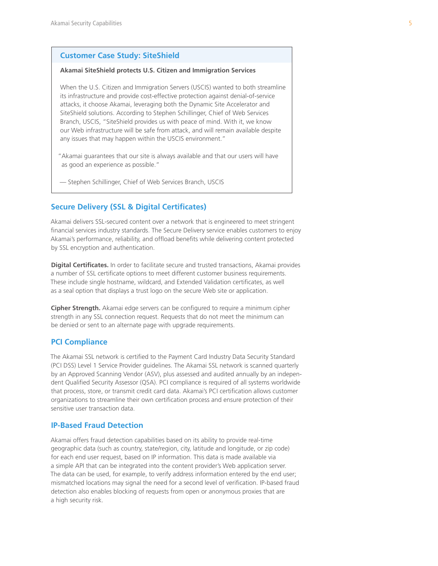### **Customer Case Study: SiteShield**

#### **Akamai SiteShield protects U.S. Citizen and Immigration Services**

When the U.S. Citizen and Immigration Servers (USCIS) wanted to both streamline its infrastructure and provide cost-effective protection against denial-of-service attacks, it choose Akamai, leveraging both the Dynamic Site Accelerator and SiteShield solutions. According to Stephen Schillinger, Chief of Web Services Branch, USCIS, "SiteShield provides us with peace of mind. With it, we know our Web infrastructure will be safe from attack, and will remain available despite any issues that may happen within the USCIS environment."

- "Akamai guarantees that our site is always available and that our users will have as good an experience as possible."
- Stephen Schillinger, Chief of Web Services Branch, USCIS

### **Secure Delivery (SSL & Digital Certificates)**

Akamai delivers SSL-secured content over a network that is engineered to meet stringent financial services industry standards. The Secure Delivery service enables customers to enjoy Akamai's performance, reliability, and offload benefits while delivering content protected by SSL encryption and authentication.

**Digital Certificates.** In order to facilitate secure and trusted transactions, Akamai provides a number of SSL certificate options to meet different customer business requirements. These include single hostname, wildcard, and Extended Validation certificates, as well as a seal option that displays a trust logo on the secure Web site or application.

**Cipher Strength.** Akamai edge servers can be configured to require a minimum cipher strength in any SSL connection request. Requests that do not meet the minimum can be denied or sent to an alternate page with upgrade requirements.

## **PCI Compliance**

The Akamai SSL network is certified to the Payment Card Industry Data Security Standard (PCI DSS) Level 1 Service Provider guidelines. The Akamai SSL network is scanned quarterly by an Approved Scanning Vendor (ASV), plus assessed and audited annually by an independent Qualified Security Assessor (QSA). PCI compliance is required of all systems worldwide that process, store, or transmit credit card data. Akamai's PCI certification allows customer organizations to streamline their own certification process and ensure protection of their sensitive user transaction data.

## **IP-Based Fraud Detection**

Akamai offers fraud detection capabilities based on its ability to provide real-time geographic data (such as country, state/region, city, latitude and longitude, or zip code) for each end user request, based on IP information. This data is made available via a simple API that can be integrated into the content provider's Web application server. The data can be used, for example, to verify address information entered by the end user; mismatched locations may signal the need for a second level of verification. IP-based fraud detection also enables blocking of requests from open or anonymous proxies that are a high security risk.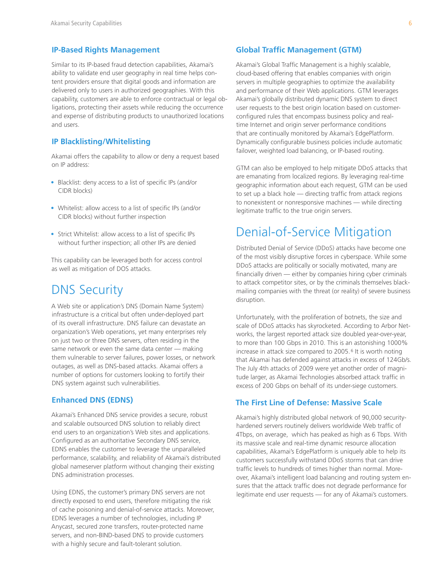### **IP-Based Rights Management**

Similar to its IP-based fraud detection capabilities, Akamai's ability to validate end user geography in real time helps content providers ensure that digital goods and information are delivered only to users in authorized geographies. With this capability, customers are able to enforce contractual or legal obligations, protecting their assets while reducing the occurrence and expense of distributing products to unauthorized locations and users.

### **IP Blacklisting/Whitelisting**

Akamai offers the capability to allow or deny a request based on IP address:

- Blacklist: deny access to a list of specific IPs (and/or CIDR blocks)
- Whitelist: allow access to a list of specific IPs (and/or CIDR blocks) without further inspection
- Strict Whitelist: allow access to a list of specific IPs without further inspection; all other IPs are denied

This capability can be leveraged both for access control as well as mitigation of DOS attacks.

## DNS Security

A Web site or application's DNS (Domain Name System) infrastructure is a critical but often under-deployed part of its overall infrastructure. DNS failure can devastate an organization's Web operations, yet many enterprises rely on just two or three DNS servers, often residing in the same network or even the same data center — making them vulnerable to server failures, power losses, or network outages, as well as DNS-based attacks. Akamai offers a number of options for customers looking to fortify their DNS system against such vulnerabilities.

### **Enhanced DNS (EDNS)**

Akamai's Enhanced DNS service provides a secure, robust and scalable outsourced DNS solution to reliably direct end users to an organization's Web sites and applications. Configured as an authoritative Secondary DNS service, EDNS enables the customer to leverage the unparalleled performance, scalability, and reliability of Akamai's distributed global nameserver platform without changing their existing DNS administration processes.

Using EDNS, the customer's primary DNS servers are not directly exposed to end users, therefore mitigating the risk of cache poisoning and denial-of-service attacks. Moreover, EDNS leverages a number of technologies, including IP Anycast, secured zone transfers, router-protected name servers, and non-BIND-based DNS to provide customers with a highly secure and fault-tolerant solution.

### **Global Traffic Management (GTM)**

Akamai's Global Traffic Management is a highly scalable, cloud-based offering that enables companies with origin servers in multiple geographies to optimize the availability and performance of their Web applications. GTM leverages Akamai's globally distributed dynamic DNS system to direct user requests to the best origin location based on customerconfigured rules that encompass business policy and realtime Internet and origin server performance conditions that are continually monitored by Akamai's EdgePlatform. Dynamically configurable business policies include automatic failover, weighted load balancing, or IP-based routing.

GTM can also be employed to help mitigate DDoS attacks that are emanating from localized regions. By leveraging real-time geographic information about each request, GTM can be used to set up a black hole — directing traffic from attack regions to nonexistent or nonresponsive machines — while directing legitimate traffic to the true origin servers.

## Denial-of-Service Mitigation

Distributed Denial of Service (DDoS) attacks have become one of the most visibly disruptive forces in cyberspace. While some DDoS attacks are politically or socially motivated, many are financially driven — either by companies hiring cyber criminals to attack competitor sites, or by the criminals themselves blackmailing companies with the threat (or reality) of severe business disruption.

Unfortunately, with the proliferation of botnets, the size and scale of DDoS attacks has skyrocketed. According to Arbor Networks, the largest reported attack size doubled year-over-year, to more than 100 Gbps in 2010. This is an astonishing 1000% increase in attack size compared to 2005. 6 It is worth noting that Akamai has defended against attacks in excess of 124Gb/s. The July 4th attacks of 2009 were yet another order of magnitude larger, as Akamai Technologies absorbed attack traffic in excess of 200 Gbps on behalf of its under-siege customers.

## **The First Line of Defense: Massive Scale**

Akamai's highly distributed global network of 90,000 securityhardened servers routinely delivers worldwide Web traffic of 4Tbps, on average, which has peaked as high as 6 Tbps. With its massive scale and real-time dynamic resource allocation capabilities, Akamai's EdgePlatform is uniquely able to help its customers successfully withstand DDoS storms that can drive traffic levels to hundreds of times higher than normal. Moreover, Akamai's intelligent load balancing and routing system ensures that the attack traffic does not degrade performance for legitimate end user requests — for any of Akamai's customers.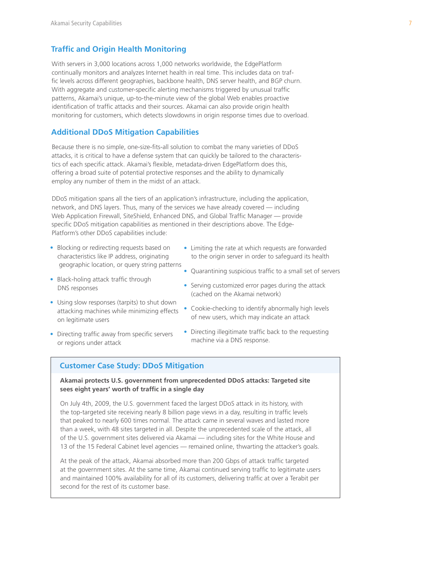### **Traffic and Origin Health Monitoring**

With servers in 3,000 locations across 1,000 networks worldwide, the EdgePlatform continually monitors and analyzes Internet health in real time. This includes data on traffic levels across different geographies, backbone health, DNS server health, and BGP churn. With aggregate and customer-specific alerting mechanisms triggered by unusual traffic patterns, Akamai's unique, up-to-the-minute view of the global Web enables proactive identification of traffic attacks and their sources. Akamai can also provide origin health monitoring for customers, which detects slowdowns in origin response times due to overload.

### **Additional DDoS Mitigation Capabilities**

Because there is no simple, one-size-fits-all solution to combat the many varieties of DDoS attacks, it is critical to have a defense system that can quickly be tailored to the characteristics of each specific attack. Akamai's flexible, metadata-driven EdgePlatform does this, offering a broad suite of potential protective responses and the ability to dynamically employ any number of them in the midst of an attack.

DDoS mitigation spans all the tiers of an application's infrastructure, including the application, network, and DNS layers. Thus, many of the services we have already covered — including Web Application Firewall, SiteShield, Enhanced DNS, and Global Traffic Manager — provide specific DDoS mitigation capabilities as mentioned in their descriptions above. The Edge-Platform's other DDoS capabilities include:

- Blocking or redirecting requests based on characteristics like IP address, originating geographic location, or query string patterns
- Black-holing attack traffic through DNS responses
- Using slow responses (tarpits) to shut down attacking machines while minimizing effects on legitimate users
- Directing traffic away from specific servers or regions under attack
- Limiting the rate at which requests are forwarded to the origin server in order to safeguard its health
- Quarantining suspicious traffic to a small set of servers
- Serving customized error pages during the attack (cached on the Akamai network)
- Cookie-checking to identify abnormally high levels of new users, which may indicate an attack
- Directing illegitimate traffic back to the requesting machine via a DNS response.

### **Customer Case Study: DDoS Mitigation**

### **Akamai protects U.S. government from unprecedented DDoS attacks: Targeted site sees eight years' worth of traffic in a single day**

On July 4th, 2009, the U.S. government faced the largest DDoS attack in its history, with the top-targeted site receiving nearly 8 billion page views in a day, resulting in traffic levels that peaked to nearly 600 times normal. The attack came in several waves and lasted more than a week, with 48 sites targeted in all. Despite the unprecedented scale of the attack, all of the U.S. government sites delivered via Akamai — including sites for the White House and 13 of the 15 Federal Cabinet level agencies — remained online, thwarting the attacker's goals.

 At the peak of the attack, Akamai absorbed more than 200 Gbps of attack traffic targeted at the government sites. At the same time, Akamai continued serving traffic to legitimate users and maintained 100% availability for all of its customers, delivering traffic at over a Terabit per second for the rest of its customer base.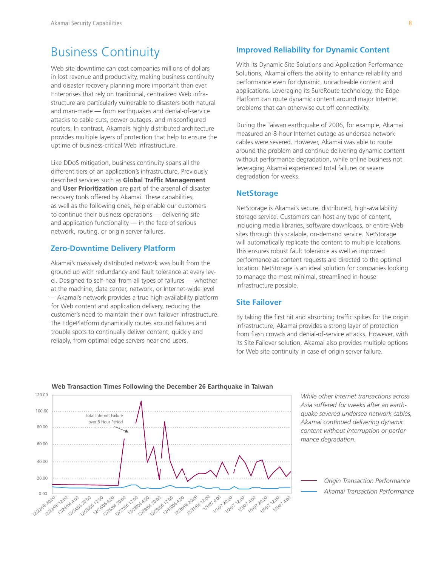## Business Continuity

Web site downtime can cost companies millions of dollars in lost revenue and productivity, making business continuity and disaster recovery planning more important than ever. Enterprises that rely on traditional, centralized Web infrastructure are particularly vulnerable to disasters both natural and man-made — from earthquakes and denial-of-service attacks to cable cuts, power outages, and misconfigured routers. In contrast, Akamai's highly distributed architecture provides multiple layers of protection that help to ensure the uptime of business-critical Web infrastructure.

Like DDoS mitigation, business continuity spans all the different tiers of an application's infrastructure. Previously described services such as **Global Traffic Management** and **User Prioritization** are part of the arsenal of disaster recovery tools offered by Akamai. These capabilities, as well as the following ones, help enable our customers to continue their business operations — delivering site and application functionality — in the face of serious network, routing, or origin server failures.

### **Zero-Downtime Delivery Platform**

Akamai's massively distributed network was built from the ground up with redundancy and fault tolerance at every level. Designed to self-heal from all types of failures — whether at the machine, data center, network, or Internet-wide level — Akamai's network provides a true high-availability platform for Web content and application delivery, reducing the customer's need to maintain their own failover infrastructure. The EdgePlatform dynamically routes around failures and trouble spots to continually deliver content, quickly and reliably, from optimal edge servers near end users.

### **Improved Reliability for Dynamic Content**

With its Dynamic Site Solutions and Application Performance Solutions, Akamai offers the ability to enhance reliability and performance even for dynamic, uncacheable content and applications. Leveraging its SureRoute technology, the Edge-Platform can route dynamic content around major Internet problems that can otherwise cut off connectivity.

During the Taiwan earthquake of 2006, for example, Akamai measured an 8-hour Internet outage as undersea network cables were severed. However, Akamai was able to route around the problem and continue delivering dynamic content without performance degradation, while online business not leveraging Akamai experienced total failures or severe degradation for weeks.

### **NetStorage**

NetStorage is Akamai's secure, distributed, high-availability storage service. Customers can host any type of content, including media libraries, software downloads, or entire Web sites through this scalable, on-demand service. NetStorage will automatically replicate the content to multiple locations. This ensures robust fault tolerance as well as improved performance as content requests are directed to the optimal location. NetStorage is an ideal solution for companies looking to manage the most minimal, streamlined in-house infrastructure possible.

## **Site Failover**

By taking the first hit and absorbing traffic spikes for the origin infrastructure, Akamai provides a strong layer of protection from flash crowds and denial-of-service attacks. However, with its Site Failover solution, Akamai also provides multiple options for Web site continuity in case of origin server failure.



**Web Transaction Times Following the December 26 Earthquake in Taiwan**

*While other Internet transactions across Asia suffered for weeks after an earthquake severed undersea network cables, Akamai continued delivering dynamic content without interruption or performance degradation.*

> *Origin Transaction Performance Akamai Transaction Performance*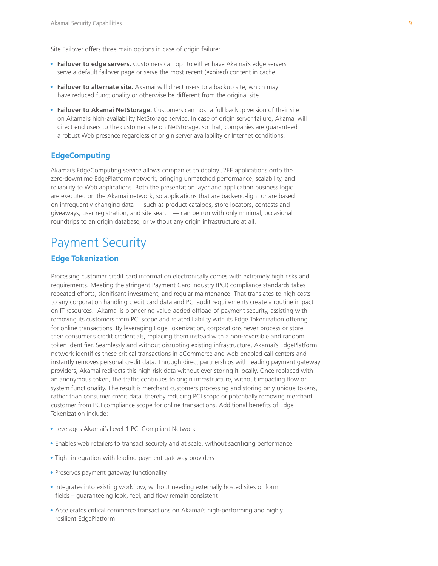Site Failover offers three main options in case of origin failure:

- **Failover to edge servers.** Customers can opt to either have Akamai's edge servers serve a default failover page or serve the most recent (expired) content in cache.
- **Failover to alternate site.** Akamai will direct users to a backup site, which may have reduced functionality or otherwise be different from the original site
- **Failover to Akamai NetStorage.** Customers can host a full backup version of their site on Akamai's high-availability NetStorage service. In case of origin server failure, Akamai will direct end users to the customer site on NetStorage, so that, companies are guaranteed a robust Web presence regardless of origin server availability or Internet conditions.

### **EdgeComputing**

Akamai's EdgeComputing service allows companies to deploy J2EE applications onto the zero-downtime EdgePlatform network, bringing unmatched performance, scalability, and reliability to Web applications. Both the presentation layer and application business logic are executed on the Akamai network, so applications that are backend-light or are based on infrequently changing data — such as product catalogs, store locators, contests and giveaways, user registration, and site search — can be run with only minimal, occasional roundtrips to an origin database, or without any origin infrastructure at all.

## Payment Security

## **Edge Tokenization**

Processing customer credit card information electronically comes with extremely high risks and requirements. Meeting the stringent Payment Card Industry (PCI) compliance standards takes repeated efforts, significant investment, and regular maintenance. That translates to high costs to any corporation handling credit card data and PCI audit requirements create a routine impact on IT resources. Akamai is pioneering value-added offload of payment security, assisting with removing its customers from PCI scope and related liability with its Edge Tokenization offering for online transactions. By leveraging Edge Tokenization, corporations never process or store their consumer's credit credentials, replacing them instead with a non-reversible and random token identifier. Seamlessly and without disrupting existing infrastructure, Akamai's EdgePlatform network identifies these critical transactions in eCommerce and web-enabled call centers and instantly removes personal credit data. Through direct partnerships with leading payment gateway providers, Akamai redirects this high-risk data without ever storing it locally. Once replaced with an anonymous token, the traffic continues to origin infrastructure, without impacting flow or system functionality. The result is merchant customers processing and storing only unique tokens, rather than consumer credit data, thereby reducing PCI scope or potentially removing merchant customer from PCI compliance scope for online transactions. Additional benefits of Edge Tokenization include:

- Leverages Akamai's Level-1 PCI Compliant Network
- Enables web retailers to transact securely and at scale, without sacrificing performance
- Tight integration with leading payment gateway providers
- Preserves payment gateway functionality.
- Integrates into existing workflow, without needing externally hosted sites or form fields – guaranteeing look, feel, and flow remain consistent
- Accelerates critical commerce transactions on Akamai's high-performing and highly resilient EdgePlatform.